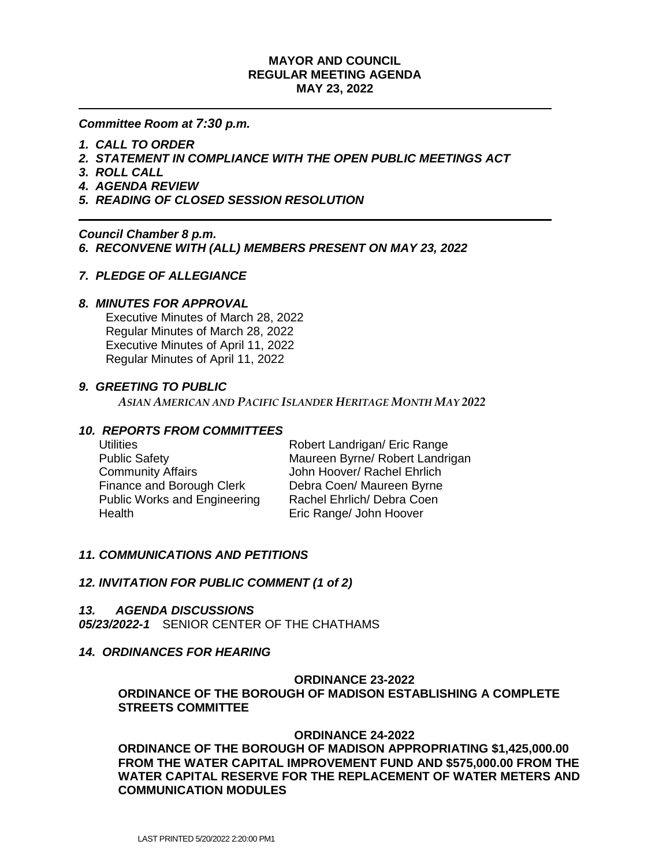# **MAYOR AND COUNCIL REGULAR MEETING AGENDA MAY 23, 2022**

*Committee Room at 7:30 p.m.*

- *1. CALL TO ORDER*
- *2. STATEMENT IN COMPLIANCE WITH THE OPEN PUBLIC MEETINGS ACT*
- *3. ROLL CALL*
- *4. AGENDA REVIEW*
- *5. READING OF CLOSED SESSION RESOLUTION*

*Council Chamber 8 p.m. 6. RECONVENE WITH (ALL) MEMBERS PRESENT ON MAY 23, 2022*

#### *7. PLEDGE OF ALLEGIANCE*

#### *8. MINUTES FOR APPROVAL*

 Executive Minutes of March 28, 2022 Regular Minutes of March 28, 2022 Executive Minutes of April 11, 2022 Regular Minutes of April 11, 2022

#### *9. GREETING TO PUBLIC*

*ASIAN AMERICAN AND PACIFIC ISLANDER HERITAGE MONTH MAY 2022*

#### *10. REPORTS FROM COMMITTEES*

Community Affairs **Community Affairs** John Hoover/ Rachel Ehrlich Finance and Borough Clerk Debra Coen/ Maureen Byrne Public Works and Engineering Rachel Ehrlich/ Debra Coen Health Eric Range/ John Hoover

Utilities **Notainally Robert Landrigan/ Eric Range** Public Safety Maureen Byrne/ Robert Landrigan

# *11. COMMUNICATIONS AND PETITIONS*

#### *12. INVITATION FOR PUBLIC COMMENT (1 of 2)*

#### *13. AGENDA DISCUSSIONS*

*05/23/2022-1* SENIOR CENTER OF THE CHATHAMS

#### *14. ORDINANCES FOR HEARING*

#### **ORDINANCE 23-2022**

# **ORDINANCE OF THE BOROUGH OF MADISON ESTABLISHING A COMPLETE STREETS COMMITTEE**

#### **ORDINANCE 24-2022**

**ORDINANCE OF THE BOROUGH OF MADISON APPROPRIATING \$1,425,000.00 FROM THE WATER CAPITAL IMPROVEMENT FUND AND \$575,000.00 FROM THE WATER CAPITAL RESERVE FOR THE REPLACEMENT OF WATER METERS AND COMMUNICATION MODULES**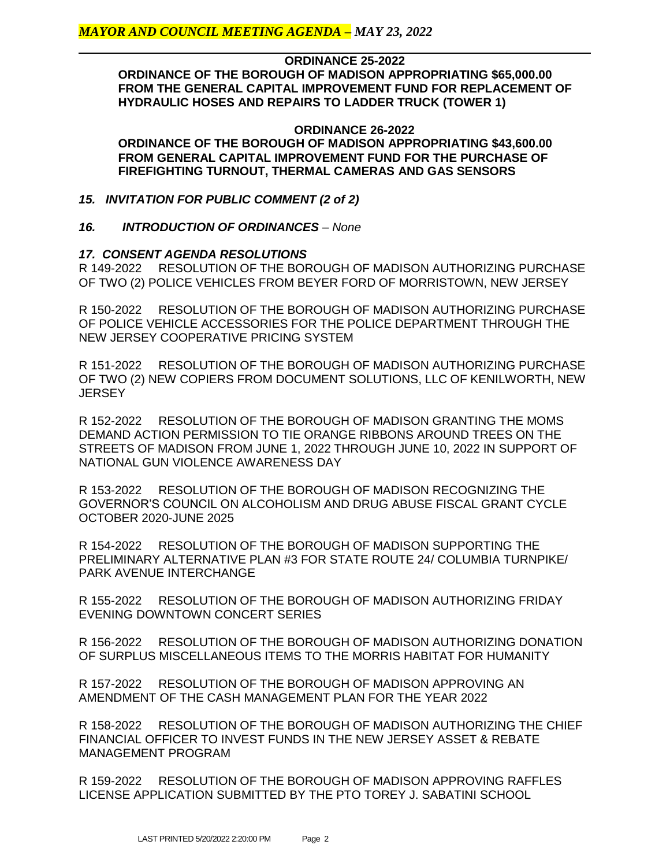#### **ORDINANCE 25-2022**

**ORDINANCE OF THE BOROUGH OF MADISON APPROPRIATING \$65,000.00 FROM THE GENERAL CAPITAL IMPROVEMENT FUND FOR REPLACEMENT OF HYDRAULIC HOSES AND REPAIRS TO LADDER TRUCK (TOWER 1)**

#### **ORDINANCE 26-2022 ORDINANCE OF THE BOROUGH OF MADISON APPROPRIATING \$43,600.00 FROM GENERAL CAPITAL IMPROVEMENT FUND FOR THE PURCHASE OF FIREFIGHTING TURNOUT, THERMAL CAMERAS AND GAS SENSORS**

# *15. INVITATION FOR PUBLIC COMMENT (2 of 2)*

# *16. INTRODUCTION OF ORDINANCES – None*

# *17. CONSENT AGENDA RESOLUTIONS*

R 149-2022 RESOLUTION OF THE BOROUGH OF MADISON AUTHORIZING PURCHASE OF TWO (2) POLICE VEHICLES FROM BEYER FORD OF MORRISTOWN, NEW JERSEY

R 150-2022 RESOLUTION OF THE BOROUGH OF MADISON AUTHORIZING PURCHASE OF POLICE VEHICLE ACCESSORIES FOR THE POLICE DEPARTMENT THROUGH THE NEW JERSEY COOPERATIVE PRICING SYSTEM

R 151-2022 RESOLUTION OF THE BOROUGH OF MADISON AUTHORIZING PURCHASE OF TWO (2) NEW COPIERS FROM DOCUMENT SOLUTIONS, LLC OF KENILWORTH, NEW JERSEY

R 152-2022 RESOLUTION OF THE BOROUGH OF MADISON GRANTING THE MOMS DEMAND ACTION PERMISSION TO TIE ORANGE RIBBONS AROUND TREES ON THE STREETS OF MADISON FROM JUNE 1, 2022 THROUGH JUNE 10, 2022 IN SUPPORT OF NATIONAL GUN VIOLENCE AWARENESS DAY

R 153-2022 RESOLUTION OF THE BOROUGH OF MADISON RECOGNIZING THE GOVERNOR'S COUNCIL ON ALCOHOLISM AND DRUG ABUSE FISCAL GRANT CYCLE OCTOBER 2020-JUNE 2025

R 154-2022 RESOLUTION OF THE BOROUGH OF MADISON SUPPORTING THE PRELIMINARY ALTERNATIVE PLAN #3 FOR STATE ROUTE 24/ COLUMBIA TURNPIKE/ PARK AVENUE INTERCHANGE

R 155-2022 RESOLUTION OF THE BOROUGH OF MADISON AUTHORIZING FRIDAY EVENING DOWNTOWN CONCERT SERIES

R 156-2022 RESOLUTION OF THE BOROUGH OF MADISON AUTHORIZING DONATION OF SURPLUS MISCELLANEOUS ITEMS TO THE MORRIS HABITAT FOR HUMANITY

R 157-2022 RESOLUTION OF THE BOROUGH OF MADISON APPROVING AN AMENDMENT OF THE CASH MANAGEMENT PLAN FOR THE YEAR 2022

R 158-2022 RESOLUTION OF THE BOROUGH OF MADISON AUTHORIZING THE CHIEF FINANCIAL OFFICER TO INVEST FUNDS IN THE NEW JERSEY ASSET & REBATE MANAGEMENT PROGRAM

R 159-2022 RESOLUTION OF THE BOROUGH OF MADISON APPROVING RAFFLES LICENSE APPLICATION SUBMITTED BY THE PTO TOREY J. SABATINI SCHOOL